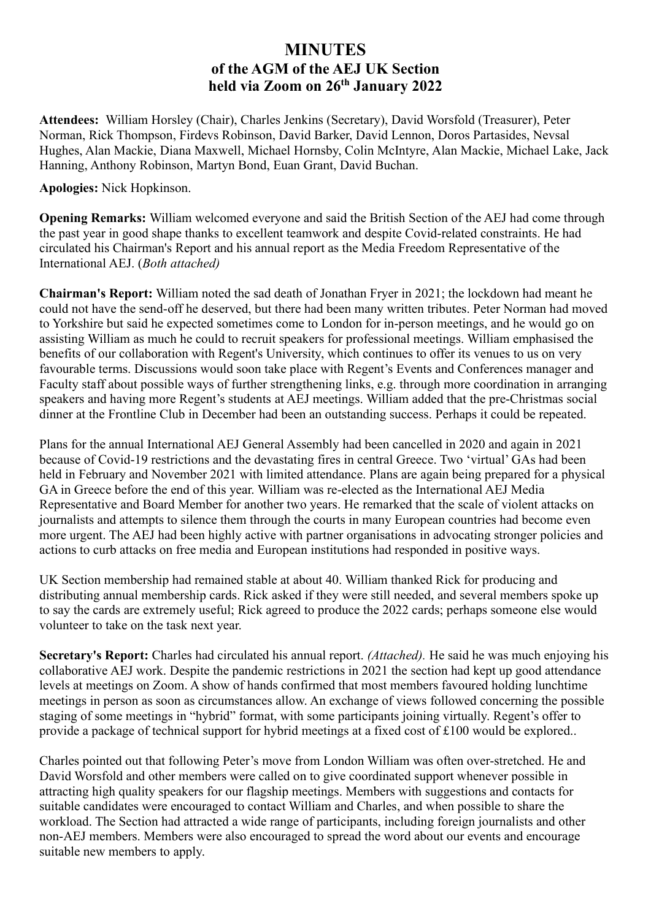## **MINUTES of the AGM of the AEJ UK Section held via Zoom on 26th January 2022**

**Attendees:** William Horsley (Chair), Charles Jenkins (Secretary), David Worsfold (Treasurer), Peter Norman, Rick Thompson, Firdevs Robinson, David Barker, David Lennon, Doros Partasides, Nevsal Hughes, Alan Mackie, Diana Maxwell, Michael Hornsby, Colin McIntyre, Alan Mackie, Michael Lake, Jack Hanning, Anthony Robinson, Martyn Bond, Euan Grant, David Buchan.

## **Apologies:** Nick Hopkinson.

**Opening Remarks:** William welcomed everyone and said the British Section of the AEJ had come through the past year in good shape thanks to excellent teamwork and despite Covid-related constraints. He had circulated his Chairman's Report and his annual report as the Media Freedom Representative of the International AEJ. (*Both attached)*

**Chairman's Report:** William noted the sad death of Jonathan Fryer in 2021; the lockdown had meant he could not have the send-off he deserved, but there had been many written tributes. Peter Norman had moved to Yorkshire but said he expected sometimes come to London for in-person meetings, and he would go on assisting William as much he could to recruit speakers for professional meetings. William emphasised the benefits of our collaboration with Regent's University, which continues to offer its venues to us on very favourable terms. Discussions would soon take place with Regent's Events and Conferences manager and Faculty staff about possible ways of further strengthening links, e.g. through more coordination in arranging speakers and having more Regent's students at AEJ meetings. William added that the pre-Christmas social dinner at the Frontline Club in December had been an outstanding success. Perhaps it could be repeated.

Plans for the annual International AEJ General Assembly had been cancelled in 2020 and again in 2021 because of Covid-19 restrictions and the devastating fires in central Greece. Two 'virtual' GAs had been held in February and November 2021 with limited attendance. Plans are again being prepared for a physical GA in Greece before the end of this year. William was re-elected as the International AEJ Media Representative and Board Member for another two years. He remarked that the scale of violent attacks on journalists and attempts to silence them through the courts in many European countries had become even more urgent. The AEJ had been highly active with partner organisations in advocating stronger policies and actions to curb attacks on free media and European institutions had responded in positive ways.

UK Section membership had remained stable at about 40. William thanked Rick for producing and distributing annual membership cards. Rick asked if they were still needed, and several members spoke up to say the cards are extremely useful; Rick agreed to produce the 2022 cards; perhaps someone else would volunteer to take on the task next year.

**Secretary's Report:** Charles had circulated his annual report. *(Attached).* He said he was much enjoying his collaborative AEJ work. Despite the pandemic restrictions in 2021 the section had kept up good attendance levels at meetings on Zoom. A show of hands confirmed that most members favoured holding lunchtime meetings in person as soon as circumstances allow. An exchange of views followed concerning the possible staging of some meetings in "hybrid" format, with some participants joining virtually. Regent's offer to provide a package of technical support for hybrid meetings at a fixed cost of £100 would be explored..

Charles pointed out that following Peter's move from London William was often over-stretched. He and David Worsfold and other members were called on to give coordinated support whenever possible in attracting high quality speakers for our flagship meetings. Members with suggestions and contacts for suitable candidates were encouraged to contact William and Charles, and when possible to share the workload. The Section had attracted a wide range of participants, including foreign journalists and other non-AEJ members. Members were also encouraged to spread the word about our events and encourage suitable new members to apply.